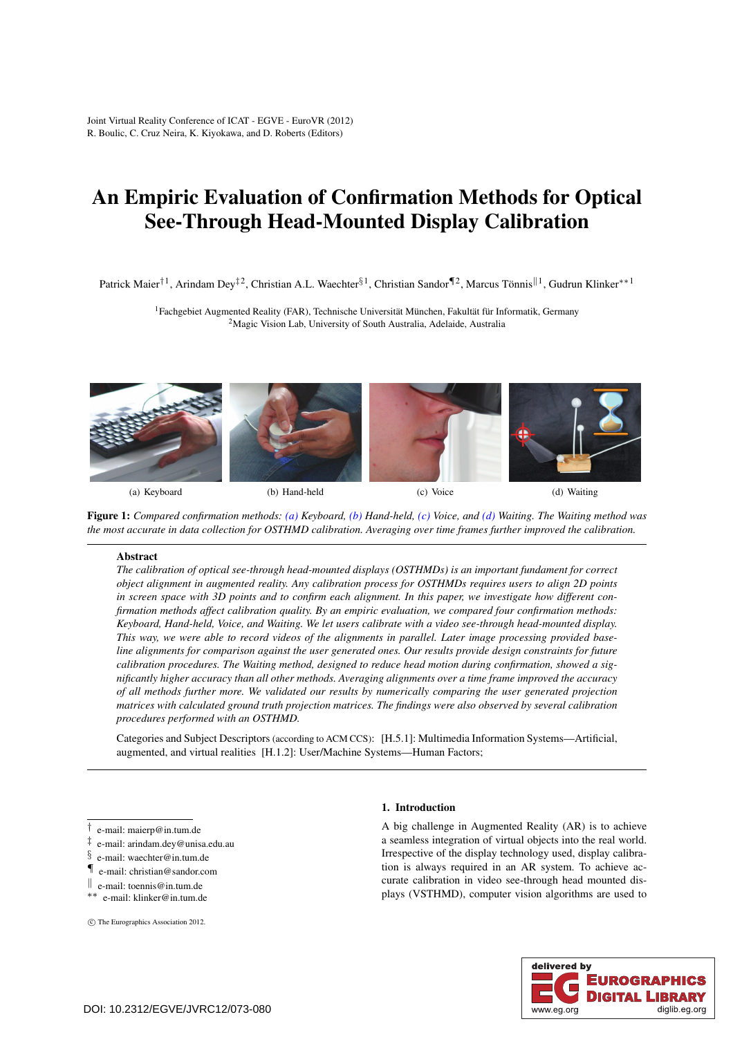Joint Virtual Reality Conference of ICAT - EGVE - EuroVR (2012) R. Boulic, C. Cruz Neira, K. Kiyokawa, and D. Roberts (Editors)

# An Empiric Evaluation of Confirmation Methods for Optical See-Through Head-Mounted Display Calibration

Patrick Maier<sup>†1</sup>, Arindam Dey<sup>‡2</sup>, Christian A.L. Waechter<sup>§1</sup>, Christian Sandor<sup>¶2</sup>, Marcus Tönnis<sup>||1</sup>, Gudrun Klinker<sup>∗∗1</sup>

1Fachgebiet Augmented Reality (FAR), Technische Universität München, Fakultät für Informatik, Germany 2Magic Vision Lab, University of South Australia, Adelaide, Australia

<span id="page-0-0"></span>

<span id="page-0-1"></span>

<span id="page-0-2"></span>

<span id="page-0-3"></span>

Figure 1: *Compared confirmation methods: [\(a\)](#page-0-0) Keyboard, [\(b\)](#page-0-1) Hand-held, [\(c\)](#page-0-2) Voice, and [\(d\)](#page-0-3) Waiting. The Waiting method was the most accurate in data collection for OSTHMD calibration. Averaging over time frames further improved the calibration.*

# Abstract

*The calibration of optical see-through head-mounted displays (OSTHMDs) is an important fundament for correct object alignment in augmented reality. Any calibration process for OSTHMDs requires users to align 2D points in screen space with 3D points and to confirm each alignment. In this paper, we investigate how different confirmation methods affect calibration quality. By an empiric evaluation, we compared four confirmation methods: Keyboard, Hand-held, Voice, and Waiting. We let users calibrate with a video see-through head-mounted display. This way, we were able to record videos of the alignments in parallel. Later image processing provided baseline alignments for comparison against the user generated ones. Our results provide design constraints for future calibration procedures. The Waiting method, designed to reduce head motion during confirmation, showed a significantly higher accuracy than all other methods. Averaging alignments over a time frame improved the accuracy of all methods further more. We validated our results by numerically comparing the user generated projection matrices with calculated ground truth projection matrices. The findings were also observed by several calibration procedures performed with an OSTHMD.*

Categories and Subject Descriptors (according to ACM CCS): [H.5.1]: Multimedia Information Systems—Artificial, augmented, and virtual realities [H.1.2]: User/Machine Systems—Human Factors;

- ‡ e-mail: arindam.dey@unisa.edu.au
- $\frac{6}{3}$  e-mail: waechter@in.tum.de
- ¶ e-mail: christian@sandor.com
- <sup>k</sup> e-mail: toennis@in.tum.de ∗∗ e-mail: klinker@in.tum.de
- 

c The Eurographics Association 2012.

## 1. Introduction

A big challenge in Augmented Reality (AR) is to achieve a seamless integration of virtual objects into the real world. Irrespective of the display technology used, display calibration is always required in an AR system. To achieve accurate calibration in video see-through head mounted displays (VSTHMD), computer vision algorithms are used to



<sup>†</sup> e-mail: maierp@in.tum.de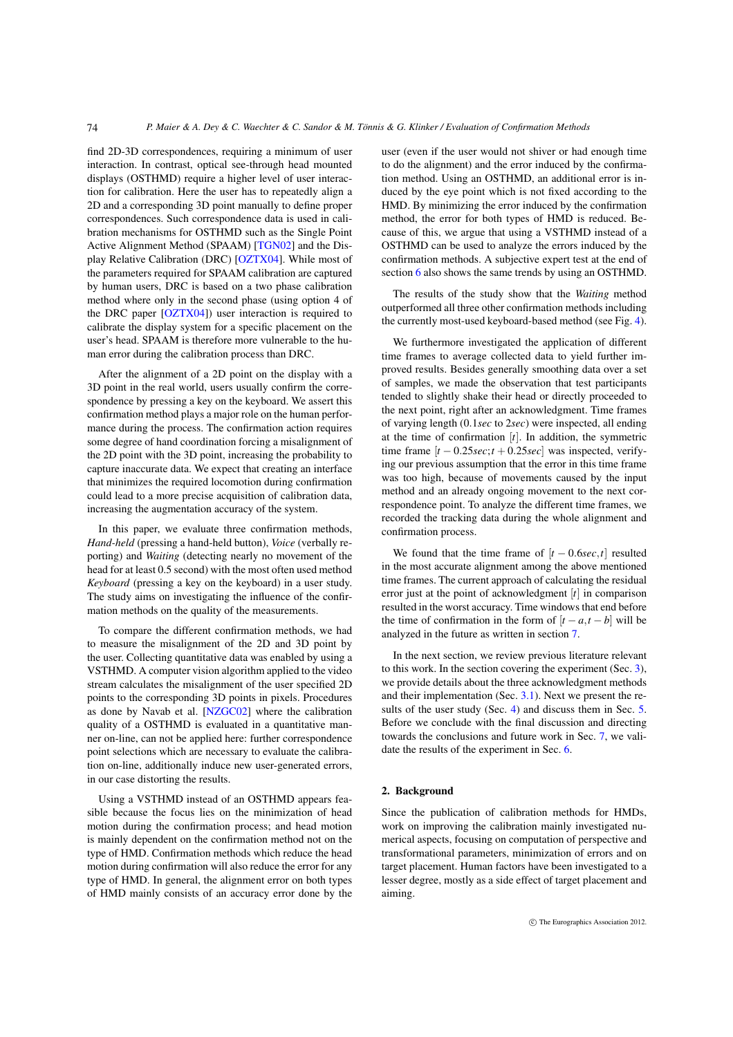find 2D-3D correspondences, requiring a minimum of user interaction. In contrast, optical see-through head mounted displays (OSTHMD) require a higher level of user interaction for calibration. Here the user has to repeatedly align a 2D and a corresponding 3D point manually to define proper correspondences. Such correspondence data is used in calibration mechanisms for OSTHMD such as the Single Point Active Alignment Method (SPAAM) [\[TGN02\]](#page-7-0) and the Display Relative Calibration (DRC) [\[OZTX04\]](#page-7-1). While most of the parameters required for SPAAM calibration are captured by human users, DRC is based on a two phase calibration method where only in the second phase (using option 4 of the DRC paper [\[OZTX04\]](#page-7-1)) user interaction is required to calibrate the display system for a specific placement on the user's head. SPAAM is therefore more vulnerable to the human error during the calibration process than DRC.

<span id="page-1-0"></span>74

After the alignment of a 2D point on the display with a 3D point in the real world, users usually confirm the correspondence by pressing a key on the keyboard. We assert this confirmation method plays a major role on the human performance during the process. The confirmation action requires some degree of hand coordination forcing a misalignment of the 2D point with the 3D point, increasing the probability to capture inaccurate data. We expect that creating an interface that minimizes the required locomotion during confirmation could lead to a more precise acquisition of calibration data, increasing the augmentation accuracy of the system.

In this paper, we evaluate three confirmation methods, *Hand-held* (pressing a hand-held button), *Voice* (verbally reporting) and *Waiting* (detecting nearly no movement of the head for at least 0.5 second) with the most often used method *Keyboard* (pressing a key on the keyboard) in a user study. The study aims on investigating the influence of the confirmation methods on the quality of the measurements.

To compare the different confirmation methods, we had to measure the misalignment of the 2D and 3D point by the user. Collecting quantitative data was enabled by using a VSTHMD. A computer vision algorithm applied to the video stream calculates the misalignment of the user specified 2D points to the corresponding 3D points in pixels. Procedures as done by Navab et al. [\[NZGC02\]](#page-7-2) where the calibration quality of a OSTHMD is evaluated in a quantitative manner on-line, can not be applied here: further correspondence point selections which are necessary to evaluate the calibration on-line, additionally induce new user-generated errors, in our case distorting the results.

Using a VSTHMD instead of an OSTHMD appears feasible because the focus lies on the minimization of head motion during the confirmation process; and head motion is mainly dependent on the confirmation method not on the type of HMD. Confirmation methods which reduce the head motion during confirmation will also reduce the error for any type of HMD. In general, the alignment error on both types of HMD mainly consists of an accuracy error done by the user (even if the user would not shiver or had enough time to do the alignment) and the error induced by the confirmation method. Using an OSTHMD, an additional error is induced by the eye point which is not fixed according to the HMD. By minimizing the error induced by the confirmation method, the error for both types of HMD is reduced. Because of this, we argue that using a VSTHMD instead of a OSTHMD can be used to analyze the errors induced by the confirmation methods. A subjective expert test at the end of section [6](#page-6-0) also shows the same trends by using an OSTHMD.

The results of the study show that the *Waiting* method outperformed all three other confirmation methods including the currently most-used keyboard-based method (see Fig. [4\)](#page-5-0).

We furthermore investigated the application of different time frames to average collected data to yield further improved results. Besides generally smoothing data over a set of samples, we made the observation that test participants tended to slightly shake their head or directly proceeded to the next point, right after an acknowledgment. Time frames of varying length (0.1*sec* to 2*sec*) were inspected, all ending at the time of confirmation [*t*]. In addition, the symmetric time frame  $[t - 0.25 \sec; t + 0.25 \sec]$  was inspected, verifying our previous assumption that the error in this time frame was too high, because of movements caused by the input method and an already ongoing movement to the next correspondence point. To analyze the different time frames, we recorded the tracking data during the whole alignment and confirmation process.

We found that the time frame of  $[t - 0.6 \sec, t]$  resulted in the most accurate alignment among the above mentioned time frames. The current approach of calculating the residual error just at the point of acknowledgment [*t*] in comparison resulted in the worst accuracy. Time windows that end before the time of confirmation in the form of  $[t - a, t - b]$  will be analyzed in the future as written in section [7.](#page-7-3)

In the next section, we review previous literature relevant to this work. In the section covering the experiment (Sec. [3\)](#page-3-0), we provide details about the three acknowledgment methods and their implementation (Sec. [3.1\)](#page-3-1). Next we present the re-sults of the user study (Sec. [4\)](#page-4-0) and discuss them in Sec. [5.](#page-6-1) Before we conclude with the final discussion and directing towards the conclusions and future work in Sec. [7,](#page-7-3) we validate the results of the experiment in Sec. [6.](#page-6-0)

## 2. Background

Since the publication of calibration methods for HMDs, work on improving the calibration mainly investigated numerical aspects, focusing on computation of perspective and transformational parameters, minimization of errors and on target placement. Human factors have been investigated to a lesser degree, mostly as a side effect of target placement and aiming.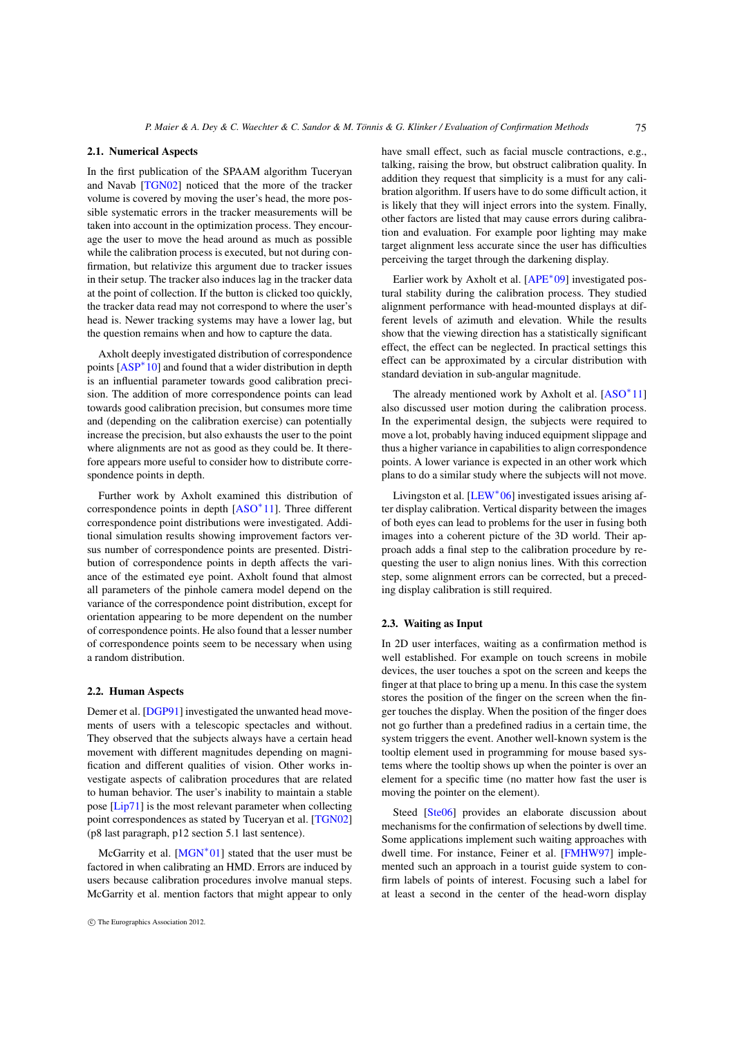#### <span id="page-2-0"></span>2.1. Numerical Aspects

In the first publication of the SPAAM algorithm Tuceryan and Navab [\[TGN02\]](#page-7-0) noticed that the more of the tracker volume is covered by moving the user's head, the more possible systematic errors in the tracker measurements will be taken into account in the optimization process. They encourage the user to move the head around as much as possible while the calibration process is executed, but not during confirmation, but relativize this argument due to tracker issues in their setup. The tracker also induces lag in the tracker data at the point of collection. If the button is clicked too quickly, the tracker data read may not correspond to where the user's head is. Newer tracking systems may have a lower lag, but the question remains when and how to capture the data.

Axholt deeply investigated distribution of correspondence points [\[ASP](#page-7-4)<sup>\*</sup>10] and found that a wider distribution in depth is an influential parameter towards good calibration precision. The addition of more correspondence points can lead towards good calibration precision, but consumes more time and (depending on the calibration exercise) can potentially increase the precision, but also exhausts the user to the point where alignments are not as good as they could be. It therefore appears more useful to consider how to distribute correspondence points in depth.

Further work by Axholt examined this distribution of correspondence points in depth [\[ASO](#page-7-5)∗11]. Three different correspondence point distributions were investigated. Additional simulation results showing improvement factors versus number of correspondence points are presented. Distribution of correspondence points in depth affects the variance of the estimated eye point. Axholt found that almost all parameters of the pinhole camera model depend on the variance of the correspondence point distribution, except for orientation appearing to be more dependent on the number of correspondence points. He also found that a lesser number of correspondence points seem to be necessary when using a random distribution.

# 2.2. Human Aspects

Demer et al. [\[DGP91\]](#page-7-6) investigated the unwanted head movements of users with a telescopic spectacles and without. They observed that the subjects always have a certain head movement with different magnitudes depending on magnification and different qualities of vision. Other works investigate aspects of calibration procedures that are related to human behavior. The user's inability to maintain a stable pose [\[Lip71\]](#page-7-7) is the most relevant parameter when collecting point correspondences as stated by Tuceryan et al. [\[TGN02\]](#page-7-0) (p8 last paragraph, p12 section 5.1 last sentence).

McGarrity et al. [\[MGN](#page-7-8)<sup>∗</sup>01] stated that the user must be factored in when calibrating an HMD. Errors are induced by users because calibration procedures involve manual steps. McGarrity et al. mention factors that might appear to only have small effect, such as facial muscle contractions, e.g., talking, raising the brow, but obstruct calibration quality. In addition they request that simplicity is a must for any calibration algorithm. If users have to do some difficult action, it is likely that they will inject errors into the system. Finally, other factors are listed that may cause errors during calibration and evaluation. For example poor lighting may make target alignment less accurate since the user has difficulties perceiving the target through the darkening display.

Earlier work by Axholt et al. [\[APE](#page-7-9)∗09] investigated postural stability during the calibration process. They studied alignment performance with head-mounted displays at different levels of azimuth and elevation. While the results show that the viewing direction has a statistically significant effect, the effect can be neglected. In practical settings this effect can be approximated by a circular distribution with standard deviation in sub-angular magnitude.

The already mentioned work by Axholt et al.  $[ASO^*11]$  $[ASO^*11]$ also discussed user motion during the calibration process. In the experimental design, the subjects were required to move a lot, probably having induced equipment slippage and thus a higher variance in capabilities to align correspondence points. A lower variance is expected in an other work which plans to do a similar study where the subjects will not move.

Livingston et al. [\[LEW](#page-7-10)∗06] investigated issues arising after display calibration. Vertical disparity between the images of both eyes can lead to problems for the user in fusing both images into a coherent picture of the 3D world. Their approach adds a final step to the calibration procedure by requesting the user to align nonius lines. With this correction step, some alignment errors can be corrected, but a preceding display calibration is still required.

## 2.3. Waiting as Input

In 2D user interfaces, waiting as a confirmation method is well established. For example on touch screens in mobile devices, the user touches a spot on the screen and keeps the finger at that place to bring up a menu. In this case the system stores the position of the finger on the screen when the finger touches the display. When the position of the finger does not go further than a predefined radius in a certain time, the system triggers the event. Another well-known system is the tooltip element used in programming for mouse based systems where the tooltip shows up when the pointer is over an element for a specific time (no matter how fast the user is moving the pointer on the element).

Steed [\[Ste06\]](#page-7-11) provides an elaborate discussion about mechanisms for the confirmation of selections by dwell time. Some applications implement such waiting approaches with dwell time. For instance, Feiner et al. [\[FMHW97\]](#page-7-12) implemented such an approach in a tourist guide system to confirm labels of points of interest. Focusing such a label for at least a second in the center of the head-worn display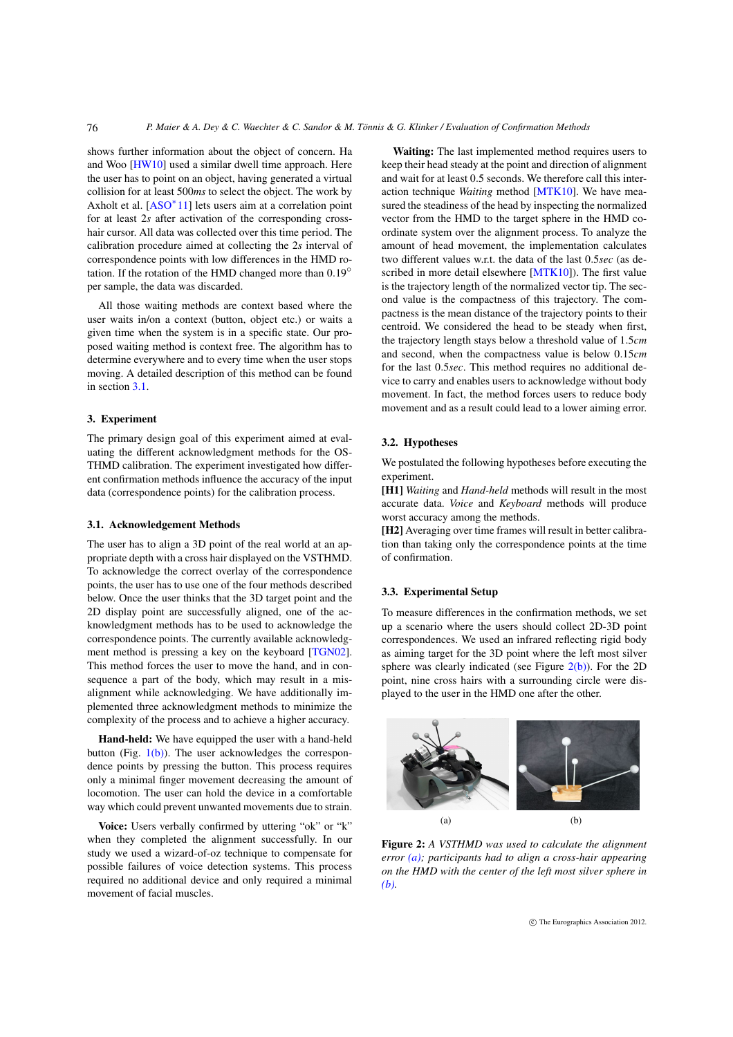shows further information about the object of concern. Ha and Woo [\[HW10\]](#page-7-13) used a similar dwell time approach. Here the user has to point on an object, having generated a virtual collision for at least 500*ms* to select the object. The work by Axholt et al. [\[ASO](#page-7-5)∗11] lets users aim at a correlation point for at least 2*s* after activation of the corresponding crosshair cursor. All data was collected over this time period. The calibration procedure aimed at collecting the 2*s* interval of correspondence points with low differences in the HMD rotation. If the rotation of the HMD changed more than  $0.19^\circ$ per sample, the data was discarded.

All those waiting methods are context based where the user waits in/on a context (button, object etc.) or waits a given time when the system is in a specific state. Our proposed waiting method is context free. The algorithm has to determine everywhere and to every time when the user stops moving. A detailed description of this method can be found in section [3.1.](#page-3-1)

#### <span id="page-3-0"></span>3. Experiment

<span id="page-3-4"></span>76

<span id="page-3-1"></span>The primary design goal of this experiment aimed at evaluating the different acknowledgment methods for the OS-THMD calibration. The experiment investigated how different confirmation methods influence the accuracy of the input data (correspondence points) for the calibration process.

## 3.1. Acknowledgement Methods

The user has to align a 3D point of the real world at an appropriate depth with a cross hair displayed on the VSTHMD. To acknowledge the correct overlay of the correspondence points, the user has to use one of the four methods described below. Once the user thinks that the 3D target point and the 2D display point are successfully aligned, one of the acknowledgment methods has to be used to acknowledge the correspondence points. The currently available acknowledgment method is pressing a key on the keyboard [\[TGN02\]](#page-7-0). This method forces the user to move the hand, and in consequence a part of the body, which may result in a misalignment while acknowledging. We have additionally implemented three acknowledgment methods to minimize the complexity of the process and to achieve a higher accuracy.

Hand-held: We have equipped the user with a hand-held button (Fig.  $1(b)$ ). The user acknowledges the correspondence points by pressing the button. This process requires only a minimal finger movement decreasing the amount of locomotion. The user can hold the device in a comfortable way which could prevent unwanted movements due to strain.

Voice: Users verbally confirmed by uttering "ok" or "k" when they completed the alignment successfully. In our study we used a wizard-of-oz technique to compensate for possible failures of voice detection systems. This process required no additional device and only required a minimal movement of facial muscles.

Waiting: The last implemented method requires users to keep their head steady at the point and direction of alignment and wait for at least 0.5 seconds. We therefore call this interaction technique *Waiting* method [\[MTK10\]](#page-7-14). We have measured the steadiness of the head by inspecting the normalized vector from the HMD to the target sphere in the HMD coordinate system over the alignment process. To analyze the amount of head movement, the implementation calculates two different values w.r.t. the data of the last 0.5*sec* (as de-scribed in more detail elsewhere [\[MTK10\]](#page-7-14)). The first value is the trajectory length of the normalized vector tip. The second value is the compactness of this trajectory. The compactness is the mean distance of the trajectory points to their centroid. We considered the head to be steady when first, the trajectory length stays below a threshold value of 1.5*cm* and second, when the compactness value is below 0.15*cm* for the last 0.5*sec*. This method requires no additional device to carry and enables users to acknowledge without body movement. In fact, the method forces users to reduce body movement and as a result could lead to a lower aiming error.

## 3.2. Hypotheses

We postulated the following hypotheses before executing the experiment.

[H1] *Waiting* and *Hand-held* methods will result in the most accurate data. *Voice* and *Keyboard* methods will produce worst accuracy among the methods.

[H2] Averaging over time frames will result in better calibration than taking only the correspondence points at the time of confirmation.

## 3.3. Experimental Setup

To measure differences in the confirmation methods, we set up a scenario where the users should collect 2D-3D point correspondences. We used an infrared reflecting rigid body as aiming target for the 3D point where the left most silver sphere was clearly indicated (see Figure  $2(b)$ ). For the 2D point, nine cross hairs with a surrounding circle were displayed to the user in the HMD one after the other.

<span id="page-3-3"></span><span id="page-3-2"></span>

Figure 2: *A VSTHMD was used to calculate the alignment error [\(a\);](#page-3-3) participants had to align a cross-hair appearing on the HMD with the center of the left most silver sphere in [\(b\).](#page-3-2)*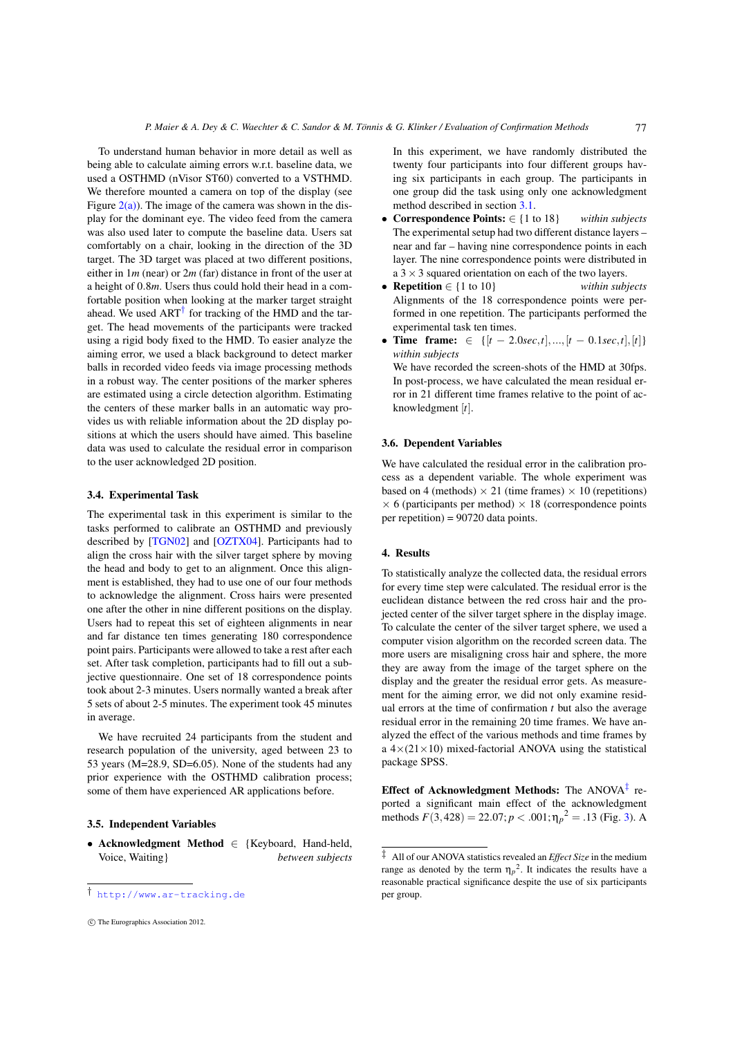<span id="page-4-3"></span>To understand human behavior in more detail as well as being able to calculate aiming errors w.r.t. baseline data, we used a OSTHMD (nVisor ST60) converted to a VSTHMD. We therefore mounted a camera on top of the display (see Figure  $2(a)$ ). The image of the camera was shown in the display for the dominant eye. The video feed from the camera was also used later to compute the baseline data. Users sat comfortably on a chair, looking in the direction of the 3D target. The 3D target was placed at two different positions, either in 1*m* (near) or 2*m* (far) distance in front of the user at a height of 0.8*m*. Users thus could hold their head in a comfortable position when looking at the marker target straight ahead. We used  $ART^{\dagger}$  for tracking of the HMD and the target. The head movements of the participants were tracked using a rigid body fixed to the HMD. To easier analyze the aiming error, we used a black background to detect marker balls in recorded video feeds via image processing methods in a robust way. The center positions of the marker spheres are estimated using a circle detection algorithm. Estimating the centers of these marker balls in an automatic way provides us with reliable information about the 2D display positions at which the users should have aimed. This baseline data was used to calculate the residual error in comparison to the user acknowledged 2D position.

#### 3.4. Experimental Task

The experimental task in this experiment is similar to the tasks performed to calibrate an OSTHMD and previously described by [\[TGN02\]](#page-7-0) and [\[OZTX04\]](#page-7-1). Participants had to align the cross hair with the silver target sphere by moving the head and body to get to an alignment. Once this alignment is established, they had to use one of our four methods to acknowledge the alignment. Cross hairs were presented one after the other in nine different positions on the display. Users had to repeat this set of eighteen alignments in near and far distance ten times generating 180 correspondence point pairs. Participants were allowed to take a rest after each set. After task completion, participants had to fill out a subjective questionnaire. One set of 18 correspondence points took about 2-3 minutes. Users normally wanted a break after 5 sets of about 2-5 minutes. The experiment took 45 minutes in average.

We have recruited 24 participants from the student and research population of the university, aged between 23 to 53 years (M=28.9, SD=6.05). None of the students had any prior experience with the OSTHMD calibration process; some of them have experienced AR applications before.

#### 3.5. Independent Variables

<span id="page-4-1"></span>• Acknowledgment Method ∈ {Keyboard, Hand-held, Voice, Waiting} *between subjects*

In this experiment, we have randomly distributed the twenty four participants into four different groups having six participants in each group. The participants in one group did the task using only one acknowledgment method described in section [3.1.](#page-3-1)

- Correspondence Points: ∈ {1 to 18} *within subjects* The experimental setup had two different distance layers – near and far – having nine correspondence points in each layer. The nine correspondence points were distributed in a  $3 \times 3$  squared orientation on each of the two layers.
- Repetition ∈ {1 to 10} *within subjects* Alignments of the 18 correspondence points were performed in one repetition. The participants performed the experimental task ten times.
- Time frame: ∈ {[*t* − 2.0*sec*,*t*],...,[*t* − 0.1*sec*,*t*],[*t*]} *within subjects* We have recorded the screen-shots of the HMD at 30fps. In post-process, we have calculated the mean residual er-

ror in 21 different time frames relative to the point of acknowledgment [*t*].

# 3.6. Dependent Variables

<span id="page-4-0"></span>We have calculated the residual error in the calibration process as a dependent variable. The whole experiment was based on 4 (methods)  $\times$  21 (time frames)  $\times$  10 (repetitions)  $\times$  6 (participants per method)  $\times$  18 (correspondence points per repetition) = 90720 data points.

## 4. Results

To statistically analyze the collected data, the residual errors for every time step were calculated. The residual error is the euclidean distance between the red cross hair and the projected center of the silver target sphere in the display image. To calculate the center of the silver target sphere, we used a computer vision algorithm on the recorded screen data. The more users are misaligning cross hair and sphere, the more they are away from the image of the target sphere on the display and the greater the residual error gets. As measurement for the aiming error, we did not only examine residual errors at the time of confirmation *t* but also the average residual error in the remaining 20 time frames. We have analyzed the effect of the various methods and time frames by a  $4\times(21\times10)$  mixed-factorial ANOVA using the statistical package SPSS.

<span id="page-4-2"></span>Effect of Acknowledgment Methods: The ANOVA $\ddagger$  reported a significant main effect of the acknowledgment methods  $F(3,428) = 22.07; p < .001; \eta_p^2 = .13$  (Fig. [3\)](#page-5-1). A

<sup>†</sup> <http://www.ar-tracking.de>

c The Eurographics Association 2012.

<sup>‡</sup> All of our ANOVA statistics revealed an *Effect Size* in the medium range as denoted by the term  $\eta_p^2$ . It indicates the results have a reasonable practical significance despite the use of six participants per group.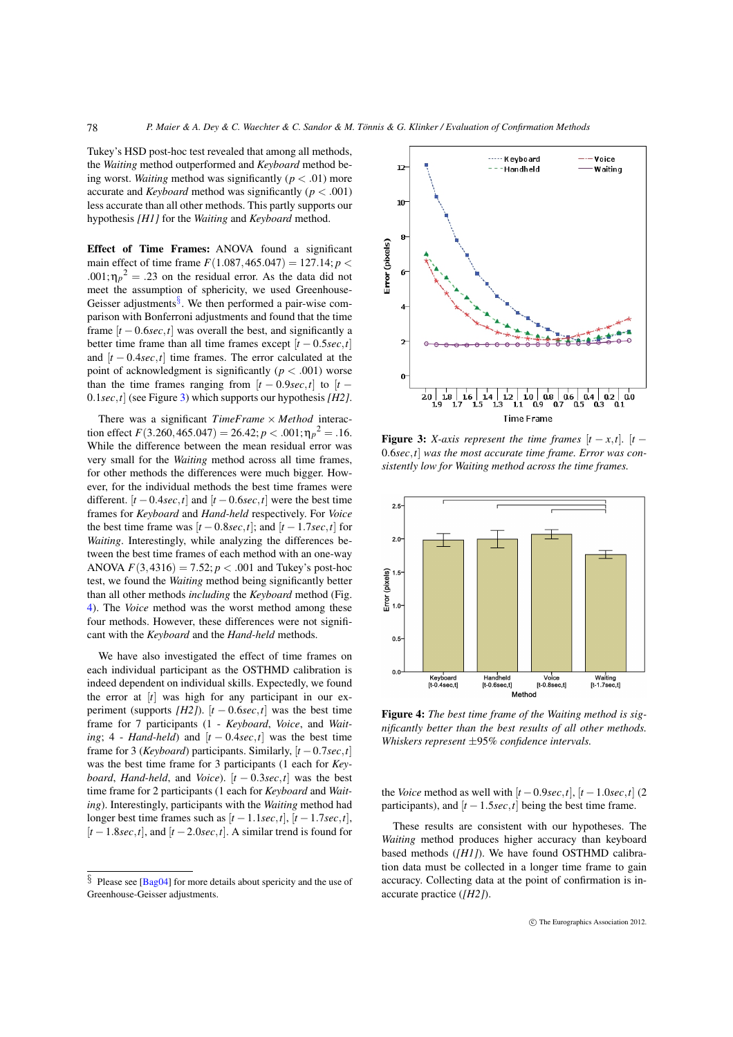Tukey's HSD post-hoc test revealed that among all methods, the *Waiting* method outperformed and *Keyboard* method being worst. *Waiting* method was significantly ( $p < .01$ ) more accurate and *Keyboard* method was significantly (*p* < .001) less accurate than all other methods. This partly supports our hypothesis *[H1]* for the *Waiting* and *Keyboard* method.

<span id="page-5-3"></span>78

Effect of Time Frames: ANOVA found a significant main effect of time frame  $F(1.087, 465.047) = 127.14; p <$  $.001; \eta_p^2 = .23$  on the residual error. As the data did not meet the assumption of sphericity, we used Greenhouse-Geisser adjustments[§](#page-5-2). We then performed a pair-wise comparison with Bonferroni adjustments and found that the time frame  $[t - 0.6 \sec, t]$  was overall the best, and significantly a better time frame than all time frames except  $[t - 0.5 \sec, t]$ and  $[t - 0.4 \sec, t]$  time frames. The error calculated at the point of acknowledgment is significantly  $(p < .001)$  worse than the time frames ranging from  $[t - 0.9 \sec t]$  to  $[t -$ 0.1*sec*,*t*] (see Figure [3\)](#page-5-1) which supports our hypothesis *[H2]*.

There was a significant *TimeFrame* × *Method* interaction effect  $F(3.260, 465.047) = 26.42$ ;  $p < .001$ ;  $\eta_p^2 = .16$ . While the difference between the mean residual error was very small for the *Waiting* method across all time frames, for other methods the differences were much bigger. However, for the individual methods the best time frames were different.  $[t - 0.4 \sec, t]$  and  $[t - 0.6 \sec, t]$  were the best time frames for *Keyboard* and *Hand-held* respectively. For *Voice* the best time frame was  $[t - 0.8 \sec, t]$ ; and  $[t - 1.7 \sec, t]$  for *Waiting*. Interestingly, while analyzing the differences between the best time frames of each method with an one-way ANOVA  $F(3,4316) = 7.52; p < .001$  and Tukey's post-hoc test, we found the *Waiting* method being significantly better than all other methods *including* the *Keyboard* method (Fig. [4\)](#page-5-0). The *Voice* method was the worst method among these four methods. However, these differences were not significant with the *Keyboard* and the *Hand-held* methods.

We have also investigated the effect of time frames on each individual participant as the OSTHMD calibration is indeed dependent on individual skills. Expectedly, we found the error at [*t*] was high for any participant in our experiment (supports *[H2]*).  $[t - 0.6 \sec, t]$  was the best time frame for 7 participants (1 - *Keyboard*, *Voice*, and *Waiting*; 4 - *Hand-held*) and  $[t - 0.4 \sec t]$  was the best time frame for 3 (*Keyboard*) participants. Similarly,  $[t - 0.7 \sec, t]$ was the best time frame for 3 participants (1 each for *Keyboard, Hand-held, and Voice*).  $[t - 0.3 \sec t]$  was the best time frame for 2 participants (1 each for *Keyboard* and *Waiting*). Interestingly, participants with the *Waiting* method had longer best time frames such as  $[t-1.1sec, t]$ ,  $[t-1.7sec, t]$ ,  $[t-1.8sec, t]$ , and  $[t-2.0sec, t]$ . A similar trend is found for



<span id="page-5-1"></span>**Figure 3:** *X-axis represent the time frames*  $[t - x, t]$ .  $[t -$ 0.6*sec*,*t*] *was the most accurate time frame. Error was consistently low for Waiting method across the time frames.*



<span id="page-5-0"></span>Figure 4: *The best time frame of the Waiting method is significantly better than the best results of all other methods. Whiskers represent* ±95% *confidence intervals.*

the *Voice* method as well with  $[t - 0.9 \sec, t]$ ,  $[t - 1.0 \sec, t]$  (2) participants), and  $[t - 1.5 \sec t]$  being the best time frame.

These results are consistent with our hypotheses. The *Waiting* method produces higher accuracy than keyboard based methods (*[H1]*). We have found OSTHMD calibration data must be collected in a longer time frame to gain accuracy. Collecting data at the point of confirmation is inaccurate practice (*[H2]*).

<span id="page-5-2"></span> $\S$  Please see [\[Bag04\]](#page-7-15) for more details about spericity and the use of Greenhouse-Geisser adjustments.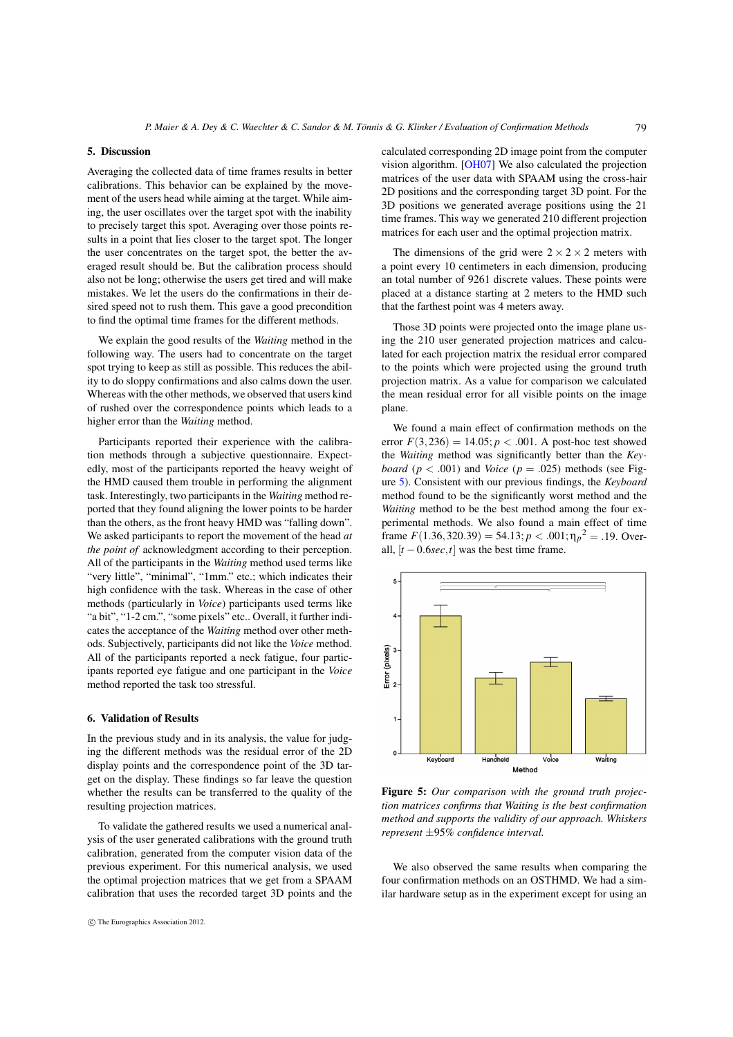#### <span id="page-6-3"></span><span id="page-6-1"></span>5. Discussion

Averaging the collected data of time frames results in better calibrations. This behavior can be explained by the movement of the users head while aiming at the target. While aiming, the user oscillates over the target spot with the inability to precisely target this spot. Averaging over those points results in a point that lies closer to the target spot. The longer the user concentrates on the target spot, the better the averaged result should be. But the calibration process should also not be long; otherwise the users get tired and will make mistakes. We let the users do the confirmations in their desired speed not to rush them. This gave a good precondition to find the optimal time frames for the different methods.

We explain the good results of the *Waiting* method in the following way. The users had to concentrate on the target spot trying to keep as still as possible. This reduces the ability to do sloppy confirmations and also calms down the user. Whereas with the other methods, we observed that users kind of rushed over the correspondence points which leads to a higher error than the *Waiting* method.

Participants reported their experience with the calibration methods through a subjective questionnaire. Expectedly, most of the participants reported the heavy weight of the HMD caused them trouble in performing the alignment task. Interestingly, two participants in the *Waiting* method reported that they found aligning the lower points to be harder than the others, as the front heavy HMD was "falling down". We asked participants to report the movement of the head *at the point of* acknowledgment according to their perception. All of the participants in the *Waiting* method used terms like "very little", "minimal", "1mm." etc.; which indicates their high confidence with the task. Whereas in the case of other methods (particularly in *Voice*) participants used terms like "a bit", "1-2 cm.", "some pixels" etc.. Overall, it further indicates the acceptance of the *Waiting* method over other methods. Subjectively, participants did not like the *Voice* method. All of the participants reported a neck fatigue, four participants reported eye fatigue and one participant in the *Voice* method reported the task too stressful.

#### <span id="page-6-0"></span>6. Validation of Results

In the previous study and in its analysis, the value for judging the different methods was the residual error of the 2D display points and the correspondence point of the 3D target on the display. These findings so far leave the question whether the results can be transferred to the quality of the resulting projection matrices.

To validate the gathered results we used a numerical analysis of the user generated calibrations with the ground truth calibration, generated from the computer vision data of the previous experiment. For this numerical analysis, we used the optimal projection matrices that we get from a SPAAM calibration that uses the recorded target 3D points and the calculated corresponding 2D image point from the computer vision algorithm. [\[OH07\]](#page-7-16) We also calculated the projection matrices of the user data with SPAAM using the cross-hair 2D positions and the corresponding target 3D point. For the 3D positions we generated average positions using the 21 time frames. This way we generated 210 different projection matrices for each user and the optimal projection matrix.

The dimensions of the grid were  $2 \times 2 \times 2$  meters with a point every 10 centimeters in each dimension, producing an total number of 9261 discrete values. These points were placed at a distance starting at 2 meters to the HMD such that the farthest point was 4 meters away.

Those 3D points were projected onto the image plane using the 210 user generated projection matrices and calculated for each projection matrix the residual error compared to the points which were projected using the ground truth projection matrix. As a value for comparison we calculated the mean residual error for all visible points on the image plane.

We found a main effect of confirmation methods on the error  $F(3,236) = 14.05$ ;  $p < .001$ . A post-hoc test showed the *Waiting* method was significantly better than the *Keyboard* ( $p < .001$ ) and *Voice* ( $p = .025$ ) methods (see Figure [5\)](#page-6-2). Consistent with our previous findings, the *Keyboard* method found to be the significantly worst method and the *Waiting* method to be the best method among the four experimental methods. We also found a main effect of time frame  $F(1.36,320.39) = 54.13$ ;  $p < .001$ ;  $\eta_p^2 = .19$ . Overall,  $[t - 0.6 \sec, t]$  was the best time frame.



<span id="page-6-2"></span>Figure 5: *Our comparison with the ground truth projection matrices confirms that Waiting is the best confirmation method and supports the validity of our approach. Whiskers represent* ±95% *confidence interval.*

We also observed the same results when comparing the four confirmation methods on an OSTHMD. We had a similar hardware setup as in the experiment except for using an